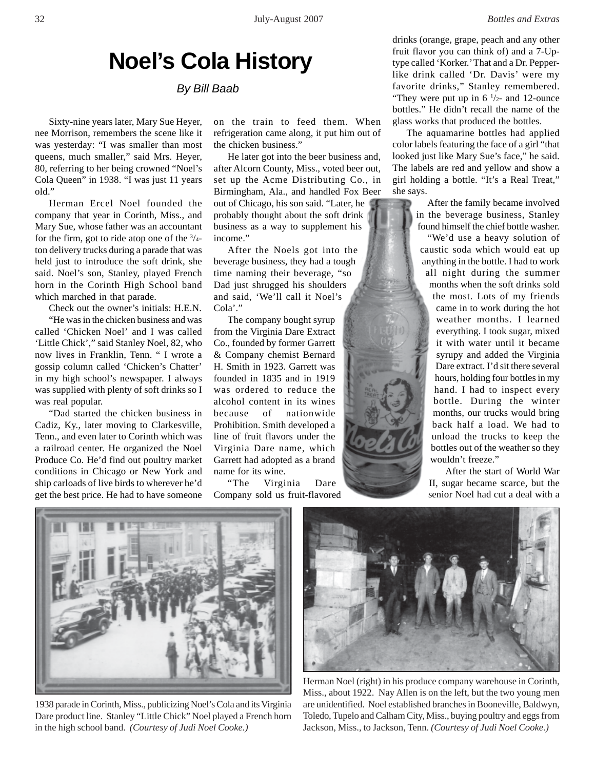## **Noel's Cola History**

*By Bill Baab*

Sixty-nine years later, Mary Sue Heyer, nee Morrison, remembers the scene like it was yesterday: "I was smaller than most queens, much smaller," said Mrs. Heyer, 80, referring to her being crowned "Noel's Cola Queen" in 1938. "I was just 11 years old."

Herman Ercel Noel founded the company that year in Corinth, Miss., and Mary Sue, whose father was an accountant for the firm, got to ride atop one of the  $\frac{3}{4}$ ton delivery trucks during a parade that was held just to introduce the soft drink, she said. Noel's son, Stanley, played French horn in the Corinth High School band which marched in that parade.

Check out the owner's initials: H.E.N.

"He was in the chicken business and was called 'Chicken Noel' and I was called 'Little Chick'," said Stanley Noel, 82, who now lives in Franklin, Tenn. " I wrote a gossip column called 'Chicken's Chatter' in my high school's newspaper. I always was supplied with plenty of soft drinks so I was real popular.

"Dad started the chicken business in Cadiz, Ky., later moving to Clarkesville, Tenn., and even later to Corinth which was a railroad center. He organized the Noel Produce Co. He'd find out poultry market conditions in Chicago or New York and ship carloads of live birds to wherever he'd get the best price. He had to have someone

on the train to feed them. When refrigeration came along, it put him out of the chicken business."

He later got into the beer business and, after Alcorn County, Miss., voted beer out, set up the Acme Distributing Co., in Birmingham, Ala., and handled Fox Beer out of Chicago, his son said. "Later, he probably thought about the soft drink business as a way to supplement his income."

After the Noels got into the beverage business, they had a tough time naming their beverage, "so Dad just shrugged his shoulders and said, 'We'll call it Noel's Cola'."

The company bought syrup from the Virginia Dare Extract Co., founded by former Garrett & Company chemist Bernard H. Smith in 1923. Garrett was founded in 1835 and in 1919 was ordered to reduce the alcohol content in its wines because of nationwide Prohibition. Smith developed a line of fruit flavors under the Virginia Dare name, which Garrett had adopted as a brand name for its wine.

"The Virginia Dare Company sold us fruit-flavored drinks (orange, grape, peach and any other fruit flavor you can think of) and a 7-Uptype called 'Korker.' That and a Dr. Pepperlike drink called 'Dr. Davis' were my favorite drinks," Stanley remembered. "They were put up in  $6 \frac{1}{2}$ - and 12-ounce" bottles." He didn't recall the name of the glass works that produced the bottles.

The aquamarine bottles had applied color labels featuring the face of a girl "that looked just like Mary Sue's face," he said. The labels are red and yellow and show a girl holding a bottle. "It's a Real Treat," she says.

> After the family became involved in the beverage business, Stanley found himself the chief bottle washer. "We'd use a heavy solution of caustic soda which would eat up anything in the bottle. I had to work all night during the summer months when the soft drinks sold the most. Lots of my friends came in to work during the hot weather months. I learned everything. I took sugar, mixed it with water until it became syrupy and added the Virginia Dare extract. I'd sit there several

hours, holding four bottles in my hand. I had to inspect every bottle. During the winter months, our trucks would bring back half a load. We had to unload the trucks to keep the bottles out of the weather so they wouldn't freeze."

 After the start of World War II, sugar became scarce, but the senior Noel had cut a deal with a



1938 parade in Corinth, Miss., publicizing Noel's Cola and its Virginia Dare product line. Stanley "Little Chick" Noel played a French horn in the high school band. *(Courtesy of Judi Noel Cooke.)*



Herman Noel (right) in his produce company warehouse in Corinth, Miss., about 1922. Nay Allen is on the left, but the two young men are unidentified. Noel established branches in Booneville, Baldwyn, Toledo, Tupelo and Calham City, Miss., buying poultry and eggs from Jackson, Miss., to Jackson, Tenn. *(Courtesy of Judi Noel Cooke.)*